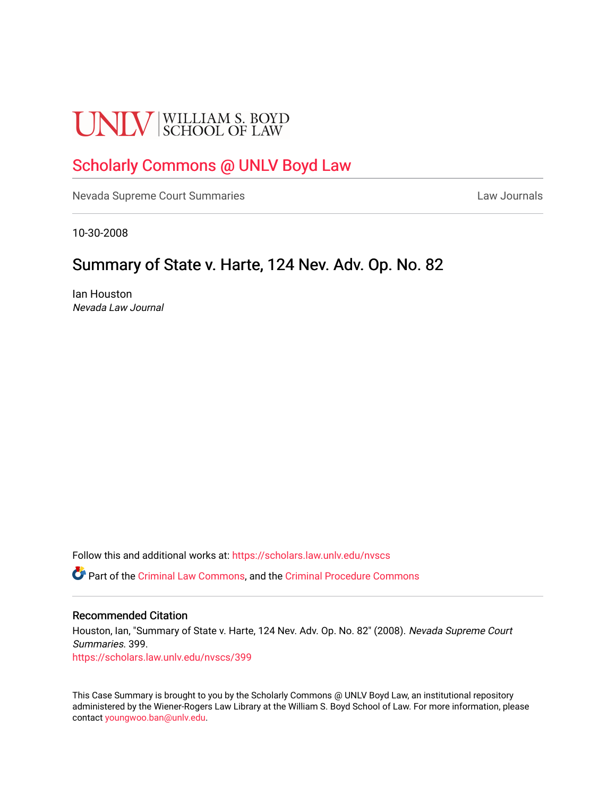# **UNLV** SCHOOL OF LAW

## [Scholarly Commons @ UNLV Boyd Law](https://scholars.law.unlv.edu/)

[Nevada Supreme Court Summaries](https://scholars.law.unlv.edu/nvscs) **Law Journals** Law Journals

10-30-2008

## Summary of State v. Harte, 124 Nev. Adv. Op. No. 82.

Ian Houston Nevada Law Journal

Follow this and additional works at: [https://scholars.law.unlv.edu/nvscs](https://scholars.law.unlv.edu/nvscs?utm_source=scholars.law.unlv.edu%2Fnvscs%2F399&utm_medium=PDF&utm_campaign=PDFCoverPages)

Part of the [Criminal Law Commons,](http://network.bepress.com/hgg/discipline/912?utm_source=scholars.law.unlv.edu%2Fnvscs%2F399&utm_medium=PDF&utm_campaign=PDFCoverPages) and the [Criminal Procedure Commons](http://network.bepress.com/hgg/discipline/1073?utm_source=scholars.law.unlv.edu%2Fnvscs%2F399&utm_medium=PDF&utm_campaign=PDFCoverPages)

#### Recommended Citation

Houston, Ian, "Summary of State v. Harte, 124 Nev. Adv. Op. No. 82" (2008). Nevada Supreme Court Summaries. 399. [https://scholars.law.unlv.edu/nvscs/399](https://scholars.law.unlv.edu/nvscs/399?utm_source=scholars.law.unlv.edu%2Fnvscs%2F399&utm_medium=PDF&utm_campaign=PDFCoverPages)

This Case Summary is brought to you by the Scholarly Commons @ UNLV Boyd Law, an institutional repository administered by the Wiener-Rogers Law Library at the William S. Boyd School of Law. For more information, please contact [youngwoo.ban@unlv.edu](mailto:youngwoo.ban@unlv.edu).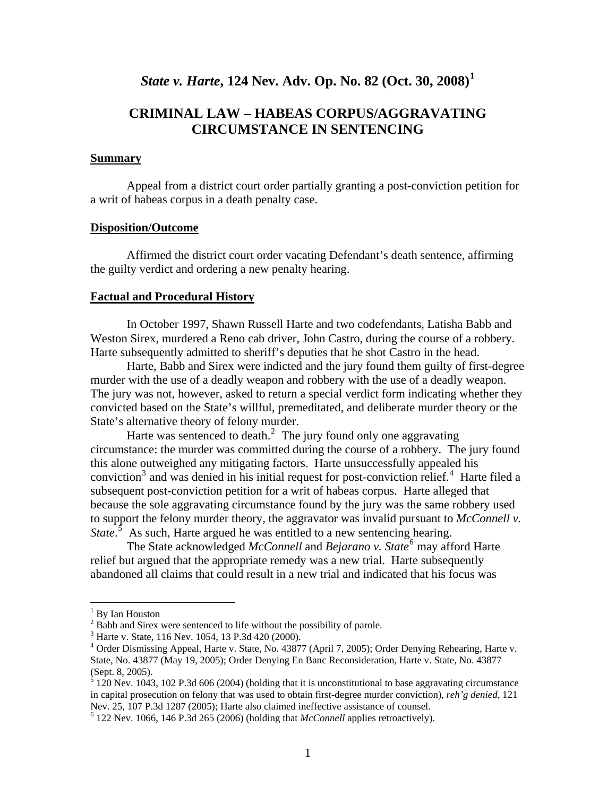## *State v. Harte***, 124 Nev. Adv. Op. No. 82 (Oct. 30, 2008)[1](#page-1-0)**

### **CRIMINAL LAW – HABEAS CORPUS/AGGRAVATING CIRCUMSTANCE IN SENTENCING**

#### **Summary**

Appeal from a district court order partially granting a post-conviction petition for a writ of habeas corpus in a death penalty case.

#### **Disposition/Outcome**

 Affirmed the district court order vacating Defendant's death sentence, affirming the guilty verdict and ordering a new penalty hearing.

#### **Factual and Procedural History**

 In October 1997, Shawn Russell Harte and two codefendants, Latisha Babb and Weston Sirex, murdered a Reno cab driver, John Castro, during the course of a robbery. Harte subsequently admitted to sheriff's deputies that he shot Castro in the head.

 Harte, Babb and Sirex were indicted and the jury found them guilty of first-degree murder with the use of a deadly weapon and robbery with the use of a deadly weapon. The jury was not, however, asked to return a special verdict form indicating whether they convicted based on the State's willful, premeditated, and deliberate murder theory or the State's alternative theory of felony murder.

Harte was sentenced to death. $2$  The jury found only one aggravating circumstance: the murder was committed during the course of a robbery. The jury found this alone outweighed any mitigating factors. Harte unsuccessfully appealed his conviction<sup>[3](#page-1-2)</sup> and was denied in his initial request for post-conviction relief.<sup>[4](#page-1-3)</sup> Harte filed a subsequent post-conviction petition for a writ of habeas corpus. Harte alleged that because the sole aggravating circumstance found by the jury was the same robbery used to support the felony murder theory, the aggravator was invalid pursuant to *McConnell v. State*.<sup>[5](#page-1-4)</sup> As such, Harte argued he was entitled to a new sentencing hearing.

The State acknowledged *McConnell* and *Bejarano v. State*<sup>[6](#page-1-5)</sup> may afford Harte relief but argued that the appropriate remedy was a new trial. Harte subsequently abandoned all claims that could result in a new trial and indicated that his focus was

 $\overline{a}$ 

<span id="page-1-0"></span><sup>&</sup>lt;sup>1</sup> By Ian Houston

 $2^2$  Babb and Sirex were sentenced to life without the possibility of parole.

<span id="page-1-2"></span><span id="page-1-1"></span><sup>3</sup> Harte v. State, 116 Nev. 1054, 13 P.3d 420 (2000).

<span id="page-1-3"></span><sup>&</sup>lt;sup>4</sup> Order Dismissing Appeal, Harte v. State, No. 43877 (April 7, 2005); Order Denying Rehearing, Harte v. State, No. 43877 (May 19, 2005); Order Denying En Banc Reconsideration, Harte v. State, No. 43877 (Sept. 8, 2005).

<span id="page-1-4"></span> $\frac{5}{5}$  120 Nev. 1043, 102 P.3d 606 (2004) (holding that it is unconstitutional to base aggravating circumstance in capital prosecution on felony that was used to obtain first-degree murder conviction), *reh'g denied*, 121 Nev. 25, 107 P.3d 1287 (2005); Harte also claimed ineffective assistance of counsel.

<span id="page-1-5"></span> <sup>122</sup> Nev. 1066, 146 P.3d 265 (2006) (holding that *McConnell* applies retroactively).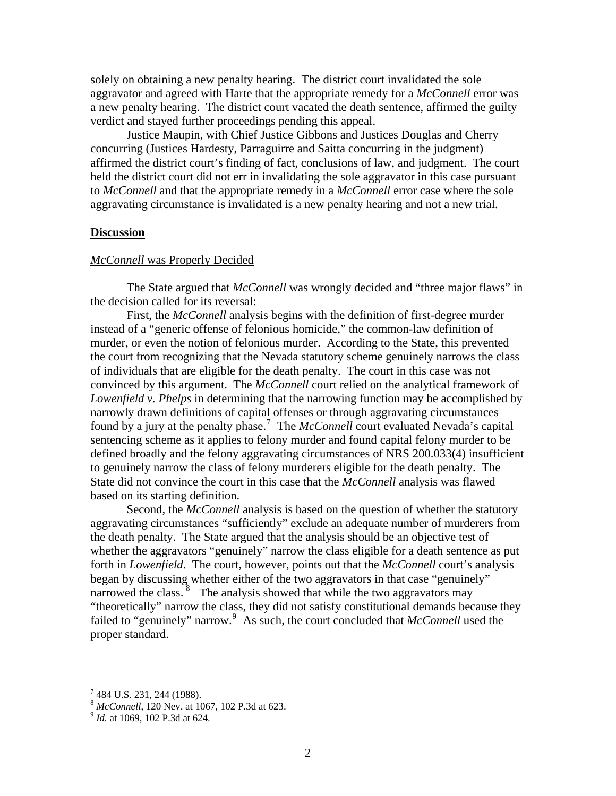solely on obtaining a new penalty hearing. The district court invalidated the sole aggravator and agreed with Harte that the appropriate remedy for a *McConnell* error was a new penalty hearing. The district court vacated the death sentence, affirmed the guilty verdict and stayed further proceedings pending this appeal.

Justice Maupin, with Chief Justice Gibbons and Justices Douglas and Cherry concurring (Justices Hardesty, Parraguirre and Saitta concurring in the judgment) affirmed the district court's finding of fact, conclusions of law, and judgment. The court held the district court did not err in invalidating the sole aggravator in this case pursuant to *McConnell* and that the appropriate remedy in a *McConnell* error case where the sole aggravating circumstance is invalidated is a new penalty hearing and not a new trial.

#### **Discussion**

#### *McConnell* was Properly Decided

 The State argued that *McConnell* was wrongly decided and "three major flaws" in the decision called for its reversal:

First, the *McConnell* analysis begins with the definition of first-degree murder instead of a "generic offense of felonious homicide," the common-law definition of murder, or even the notion of felonious murder. According to the State, this prevented the court from recognizing that the Nevada statutory scheme genuinely narrows the class of individuals that are eligible for the death penalty. The court in this case was not convinced by this argument. The *McConnell* court relied on the analytical framework of *Lowenfield v. Phelps* in determining that the narrowing function may be accomplished by narrowly drawn definitions of capital offenses or through aggravating circumstances found by a jury at the penalty phase.<sup>[7](#page-2-0)</sup> The *McConnell* court evaluated Nevada's capital sentencing scheme as it applies to felony murder and found capital felony murder to be defined broadly and the felony aggravating circumstances of NRS 200.033(4) insufficient to genuinely narrow the class of felony murderers eligible for the death penalty. The State did not convince the court in this case that the *McConnell* analysis was flawed based on its starting definition.

Second, the *McConnell* analysis is based on the question of whether the statutory aggravating circumstances "sufficiently" exclude an adequate number of murderers from the death penalty. The State argued that the analysis should be an objective test of whether the aggravators "genuinely" narrow the class eligible for a death sentence as put forth in *Lowenfield*. The court, however, points out that the *McConnell* court's analysis began by discussing whether either of the two aggravators in that case "genuinely" narrowed the class.  $8\degree$  $8\degree$  The analysis showed that while the two aggravators may "theoretically" narrow the class, they did not satisfy constitutional demands because they failed to "genuinely" narrow.<sup>[9](#page-2-2)</sup> As such, the court concluded that *McConnell* used the proper standard.

 $\overline{a}$ 

<span id="page-2-0"></span><sup>&</sup>lt;sup>7</sup> 484 U.S. 231, 244 (1988).

<span id="page-2-1"></span><sup>8</sup> *McConnell*, 120 Nev. at 1067, 102 P.3d at 623. 9 *Id.* at 1069, 102 P.3d at 624.

<span id="page-2-2"></span>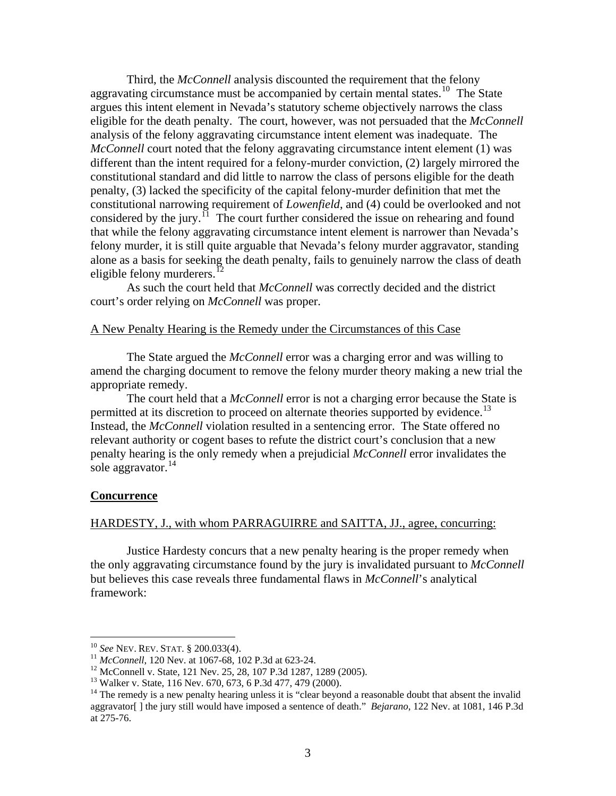Third, the *McConnell* analysis discounted the requirement that the felony aggravating circumstance must be accompanied by certain mental states.<sup>[10](#page-3-0)</sup> The State argues this intent element in Nevada's statutory scheme objectively narrows the class eligible for the death penalty. The court, however, was not persuaded that the *McConnell* analysis of the felony aggravating circumstance intent element was inadequate. The *McConnell* court noted that the felony aggravating circumstance intent element (1) was different than the intent required for a felony-murder conviction, (2) largely mirrored the constitutional standard and did little to narrow the class of persons eligible for the death penalty, (3) lacked the specificity of the capital felony-murder definition that met the constitutional narrowing requirement of *Lowenfield*, and (4) could be overlooked and not considered by the jury.<sup> $11$ </sup> The court further considered the issue on rehearing and found that while the felony aggravating circumstance intent element is narrower than Nevada's felony murder, it is still quite arguable that Nevada's felony murder aggravator, standing alone as a basis for seeking the death penalty, fails to genuinely narrow the class of death eligible felony murderers. $^{12}$  $^{12}$  $^{12}$ 

As such the court held that *McConnell* was correctly decided and the district court's order relying on *McConnell* was proper.

#### A New Penalty Hearing is the Remedy under the Circumstances of this Case

 The State argued the *McConnell* error was a charging error and was willing to amend the charging document to remove the felony murder theory making a new trial the appropriate remedy.

 The court held that a *McConnell* error is not a charging error because the State is permitted at its discretion to proceed on alternate theories supported by evidence.<sup>[13](#page-3-3)</sup> Instead, the *McConnell* violation resulted in a sentencing error. The State offered no relevant authority or cogent bases to refute the district court's conclusion that a new penalty hearing is the only remedy when a prejudicial *McConnell* error invalidates the sole aggravator. $^{14}$  $^{14}$  $^{14}$ 

#### **Concurrence**

#### HARDESTY, J., with whom PARRAGUIRRE and SAITTA, JJ., agree, concurring:

 Justice Hardesty concurs that a new penalty hearing is the proper remedy when the only aggravating circumstance found by the jury is invalidated pursuant to *McConnell* but believes this case reveals three fundamental flaws in *McConnell*'s analytical framework:

<span id="page-3-0"></span> $^{10}$  See NEV. REV. STAT. § 200.033(4).

<span id="page-3-1"></span><sup>&</sup>lt;sup>11</sup> *McConnell*, 120 Nev. at 1067-68, 102 P.3d at 623-24.<br><sup>12</sup> McConnell v. State, 121 Nev. 25, 28, 107 P.3d 1287, 1289 (2005).

<span id="page-3-3"></span><span id="page-3-2"></span><sup>13</sup> Walker v. State, 116 Nev. 670, 673, 6 P.3d 477, 479 (2000).

<span id="page-3-4"></span><sup>&</sup>lt;sup>14</sup> The remedy is a new penalty hearing unless it is "clear beyond a reasonable doubt that absent the invalid aggravator[ ] the jury still would have imposed a sentence of death." *Bejarano*, 122 Nev. at 1081, 146 P.3d at 275-76.